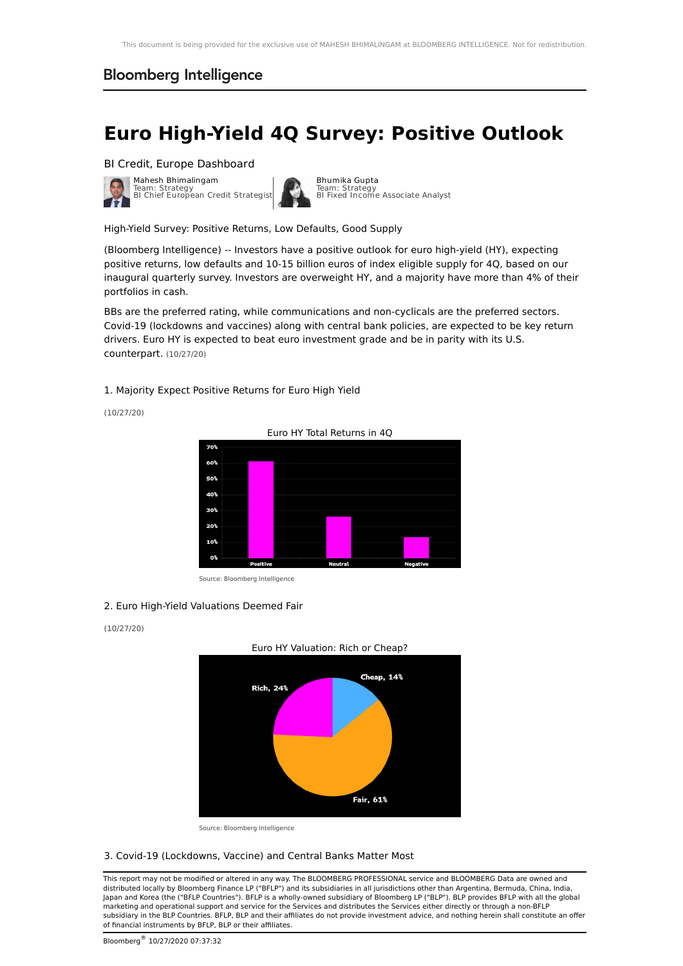# **Euro High-Yield 4Q Survey: Positive Outlook**

BI Credit, Europe [Dashboard](https://blinks.bloomberg.com/screens/BI%20STRTE)



[Bhumika](https://blinks.bloomberg.com/people/profile/21565090) Gupta Team: Strategy BI Fixed Income Associate Analyst

High-Yield Survey: Positive Returns, Low Defaults, Good Supply

(Bloomberg Intelligence) -- Investors have a positive outlook for euro high-yield (HY), expecting positive returns, low defaults and 10-15 billion euros of index eligible supply for 4Q, based on our inaugural quarterly survey. Investors are overweight HY, and a majority have more than 4% of their portfolios in cash.

BBs are the preferred rating, while communications and non-cyclicals are the preferred sectors. Covid-19 (lockdowns and vaccines) along with central bank policies, are expected to be key return drivers. Euro HY is expected to beat euro investment grade and be in parity with its U.S. counterpart. (10/27/20)

1. Majority Expect Positive Returns for Euro High Yield

(10/27/20)



Source: Bloomberg Intelligence

#### 2. Euro High-Yield Valuations Deemed Fair

#### (10/27/20)



Source: Bloomberg Intelligence

#### 3. Covid-19 (Lockdowns, Vaccine) and Central Banks Matter Most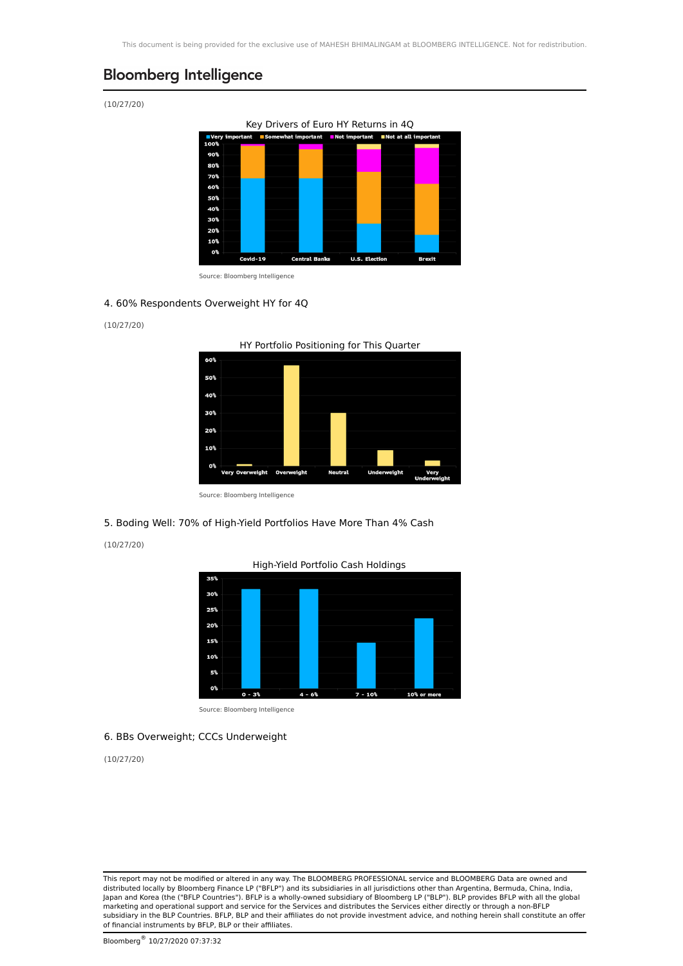(10/27/20)



Source: Bloomberg Intelligence

### 4. 60% Respondents Overweight HY for 4Q

(10/27/20)



HY Portfolio Positioning for This Quarter

Source: Bloomberg Intelligence

### 5. Boding Well: 70% of High-Yield Portfolios Have More Than 4% Cash

(10/27/20)





Source: Bloomberg Intelligence

#### 6. BBs Overweight; CCCs Underweight

35%

(10/27/20)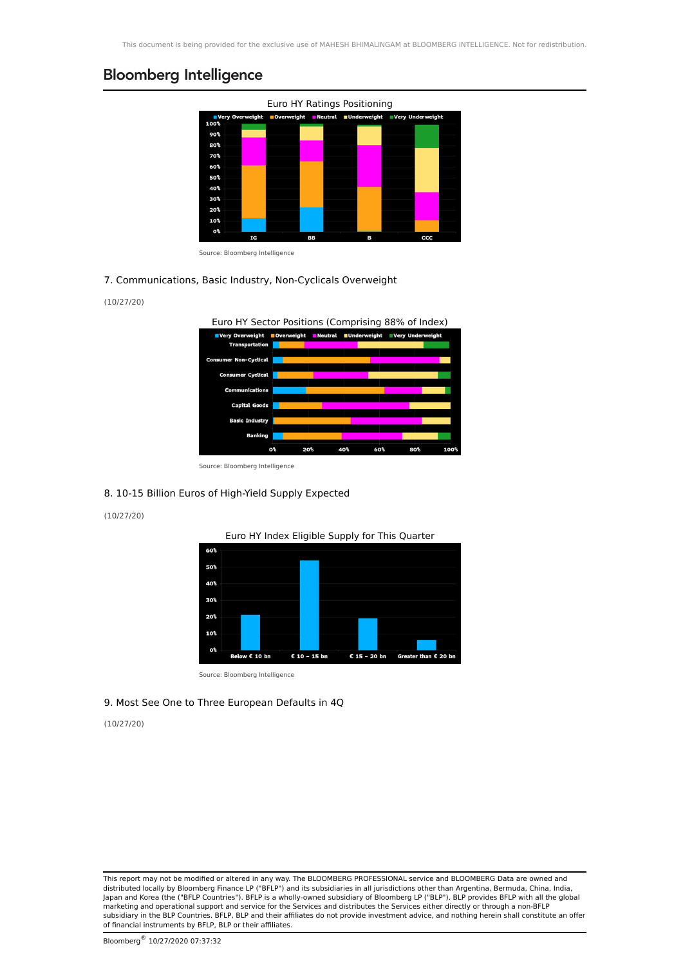

Source: Bloomberg Intelligence

#### 7. Communications, Basic Industry, Non-Cyclicals Overweight

### (10/27/20)



Source: Bloomberg Intelligence

### 8. 10-15 Billion Euros of High-Yield Supply Expected

### (10/27/20)



Source: Bloomberg Intelligence

## 9. Most See One to Three European Defaults in 4Q

### (10/27/20)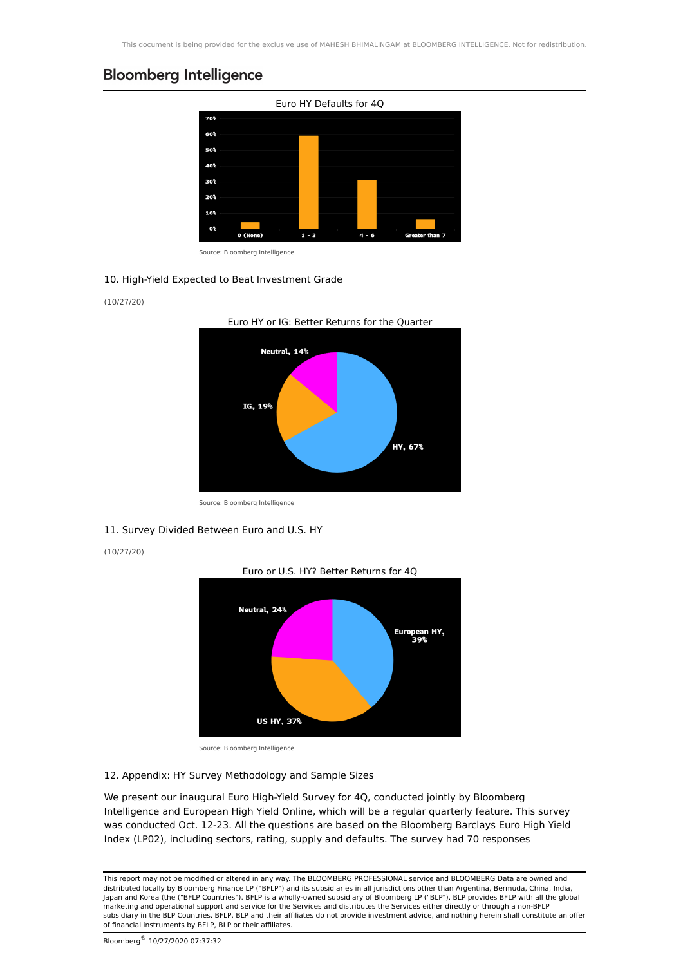

Source: Bloomberg Intelligence

#### 10. High-Yield Expected to Beat Investment Grade

#### (10/27/20)



Euro HY or IG: Better Returns for the Quarter

Source: Bloomberg Intelligence

#### 11. Survey Divided Between Euro and U.S. HY

(10/27/20)



Source: Bloomberg Intelligence

#### 12. Appendix: HY Survey Methodology and Sample Sizes

We present our inaugural Euro High-Yield Survey for 4Q, conducted jointly by Bloomberg Intelligence and European High Yield Online, which will be a regular quarterly feature. This survey was conducted Oct. 12-23. All the questions are based on the Bloomberg Barclays Euro High Yield Index (LP02), including sectors, rating, supply and defaults. The survey had 70 responses